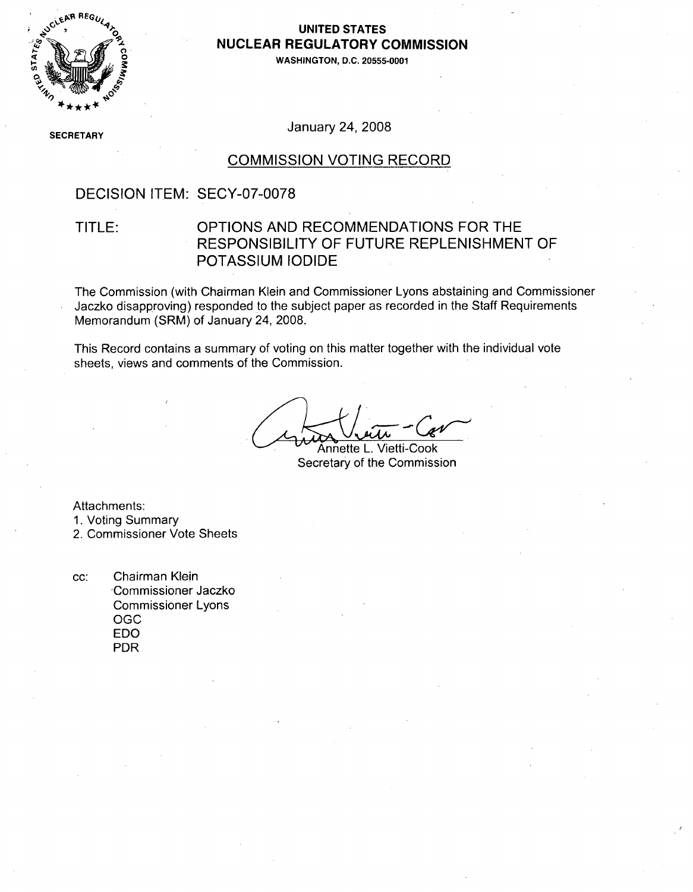

### **0, UNITED STATES AUCLEAR REGULATORY COMMISSION**

**0' WASHINGTON, D.C. 20555-0001**

**SECRETARY** 

January 24, 2008

### COMMISSION VOTING RECORD

## DECISION ITEM: SECY-07-0078

## TITLE: OPTIONS AND RECOMMENDATIONS FOR THE RESPONSIBILITY OF FUTURE REPLENISHMENT OF POTASSIUM IODIDE

The Commission (with Chairman Klein and Commissioner Lyons abstaining and Commissioner Jaczko disapproving) responded to the subject paper as recorded in the Staff Requirements Memorandum (SRM) of January 24, 2008.

This Record contains a summary of voting on this matter together with the individual vote sheets, views and comments of the Commission.

Annette L. Vietti-Cook Secretary of the Commission

Attachments:

- 1. Voting Summary
- 2. Commissioner Vote Sheets

cc: Chairman Klein -Commissioner Jaczko Commissioner Lyons OGC EDO PDR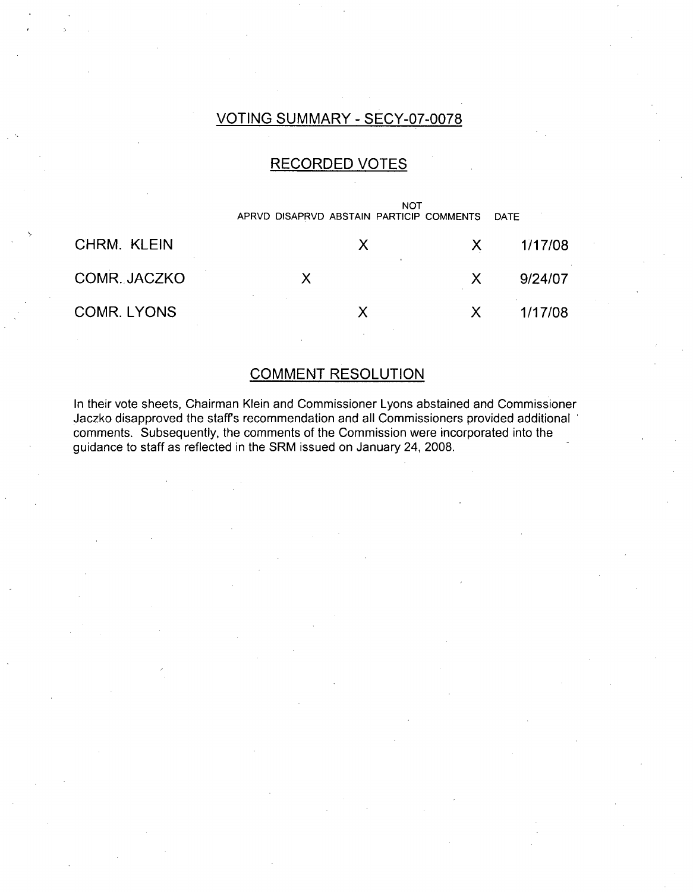# VOTING SUMMARY - SECY-07-0078

# RECORDED VOTES

|              | <b>NOT</b><br>APRVD DISAPRVD ABSTAIN PARTICIP COMMENTS |    | <b>DATE</b> |
|--------------|--------------------------------------------------------|----|-------------|
| CHRM. KLEIN  | X                                                      | X  | 1/17/08     |
| COMR. JACZKO |                                                        | X  | 9/24/07     |
| COMR. LYONS  |                                                        | X. | 1/17/08     |

## COMMENT RESOLUTION

In their vote sheets, Chairman Klein and Commissioner Lyons abstained and Commissioner Jaczko disapproved the staffs recommendation and all Commissioners provided additional comments. Subsequently, the comments of the Commission were incorporated into the guidance to staff as reflected in the SRM issued on January 24, 2008.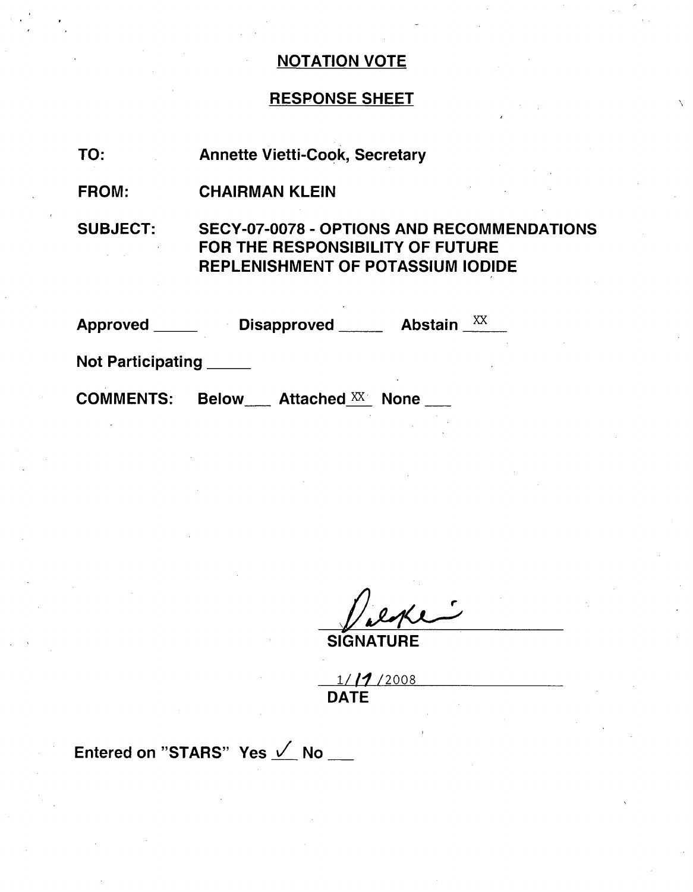# NOTATION VOTE

# RESPONSE SHEET

| TO:                     | <b>Annette Vietti-Cook, Secretary</b>                                                                                             |
|-------------------------|-----------------------------------------------------------------------------------------------------------------------------------|
| <b>FROM:</b>            | <b>CHAIRMAN KLEIN</b>                                                                                                             |
| <b>SUBJECT:</b>         | <b>SECY-07-0078 - OPTIONS AND RECOMMENDATION:</b><br>FOR THE RESPONSIBILITY OF FUTURE<br><b>REPLENISHMENT OF POTASSIUM IODIDE</b> |
|                         | Approved Disapproved Abstain XX                                                                                                   |
| Not Participating _____ |                                                                                                                                   |
| <b>COMMENTS:</b>        | <b>Below</b> Attached XX<br><b>None</b>                                                                                           |

نب ويهره

**SIGNATURE** 

**1/11**/200 DATE

Entered on "STARS" Yes  $\angle$  No \_\_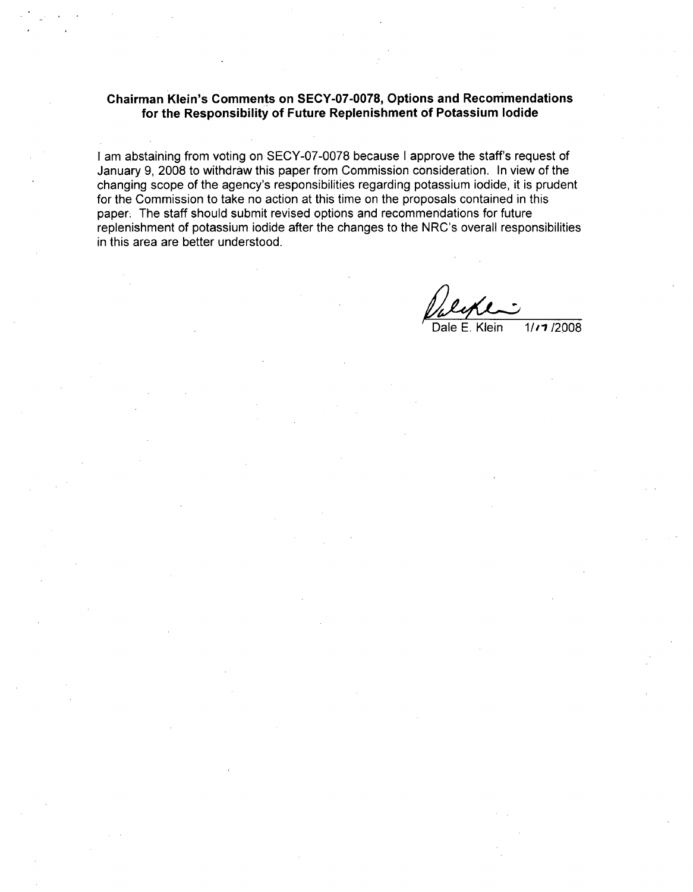#### Chairman Klein's Comments on **SECY-07-0078,** Options and Recommendations for the Responsibility of Future Replenishment of Potassium Iodide

I am abstaining from voting on SECY-07-0078 because I approve the staff's request of January 9, 2008 to withdraw this paper from Commission consideration. In view of the changing scope of the agency's responsibilities regarding potassium iodide, it is prudent for the Commission to take no action at this time on the proposals contained in this paper. The staff should submit revised options and recommendations for future replenishment of potassium iodide after the changes to the NRC's overall responsibilities in this area are better understood.

Dale E. Klein 1/11/2008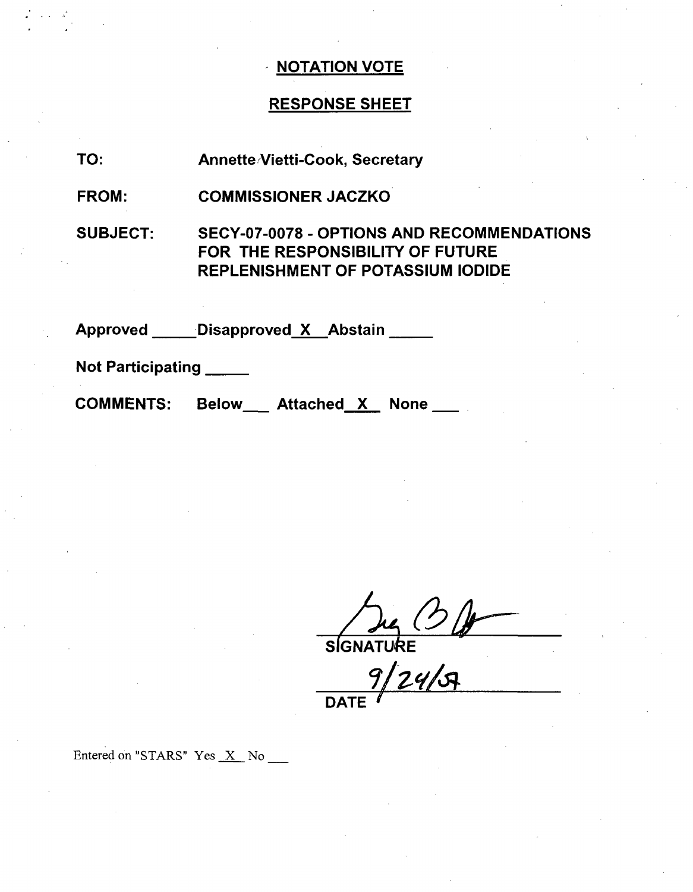# **NOTATION VOTE**

# RESPONSE SHEET

| TO:             | <b>Annette Vietti-Cook, Secretary</b>                                                                                             |
|-----------------|-----------------------------------------------------------------------------------------------------------------------------------|
| FROM:           | <b>COMMISSIONER JACZKO</b>                                                                                                        |
| <b>SUBJECT:</b> | <b>SECY-07-0078 - OPTIONS AND RECOMMENDATION:</b><br>FOR THE RESPONSIBILITY OF FUTURE<br><b>REPLENISHMENT OF POTASSIUM IODIDE</b> |
| <b>Approved</b> | Disapproved X Abstain                                                                                                             |

Not Participating

COMMENTS: Below \_\_ Attached X None \_\_

**//)cý**

SIGNATU**RE** 

**DATE**

Entered on "STARS" Yes  $X$  No  $\overline{\phantom{1}}$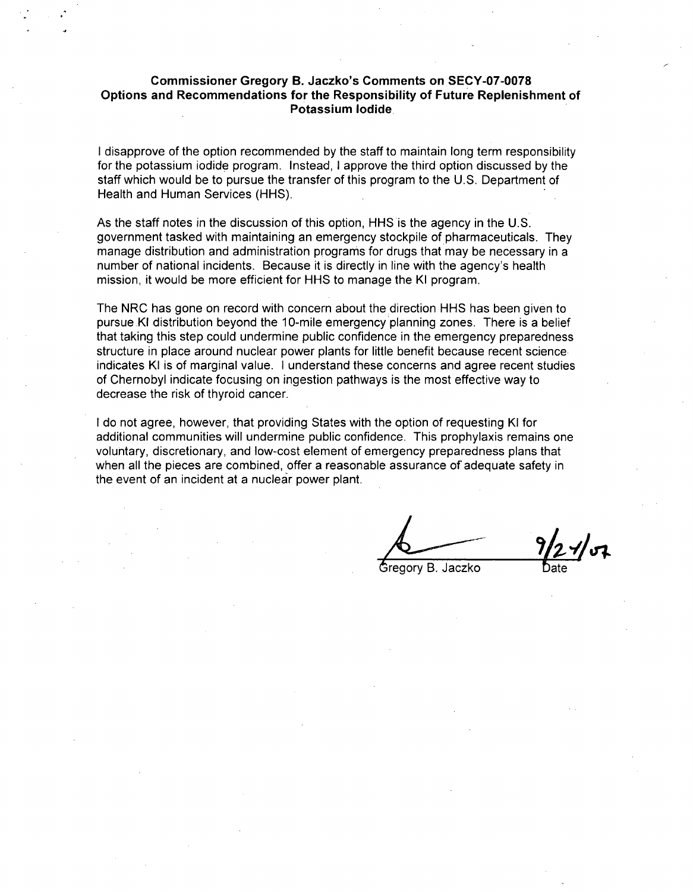#### Commissioner Gregory B. Jaczko's Comments on **SECY-07-0078** Options and Recommendations for the Responsibility of Future Replenishment of Potassium Iodide

I disapprove of the option recommended by the staff to maintain long term responsibility for the potassium iodide program. instead, I approve the third option discussed by the staff which would be to pursue the transfer of this program to the **U.S.** Department of Health and Human Services (HHS).

As the staff notes in the discussion of this option, HHS is the agency in the U.S. government tasked with maintaining an emergency stockpile of pharmaceuticals. They manage distribution and administration programs for drugs that may be necessary in a number of national incidents. Because it is directly in line with the agency's health mission, it would be more efficient for HHS to manage the KI program.

The NRC has gone on record with concern about the direction HHS has been given to pursue KI distribution beyond the 10-mile emergency planning zones. There is a belief that taking this step could undermine public confidence in the emergency preparedness structure in place around nuclear power plants for little benefit because recent science indicates KI is of marginal value. I understand these concerns and agree recent studies of Chernobyl indicate focusing on ingestion pathways is the most effective way to decrease the risk of thyroid cancer.

I do not agree, however, that providing States with the option of requesting KI for additional communities will undermine public confidence. This prophylaxis remains one voluntary, discretionary, and low-cost element of emergency preparedness plans that when all the pieces are combined, offer a reasonable assurance of adequate safety in the event of an incident at a nuclear power plant.

Gregory B. Jaczko